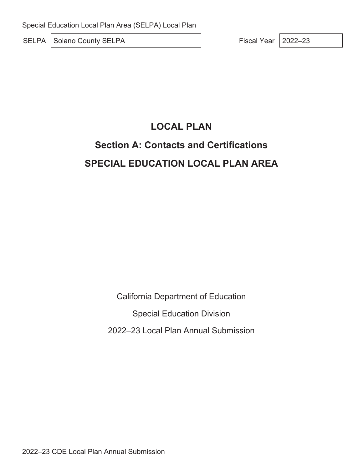SELPA Solano County SELPA Fiscal Year 2022–23

# **LOCAL PLAN**

# **Section A: Contacts and Certifications SPECIAL EDUCATION LOCAL PLAN AREA**

California Department of Education

Special Education Division

2022–23 Local Plan Annual Submission

2022–23 CDE Local Plan Annual Submission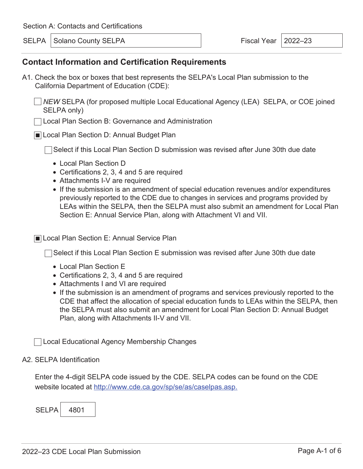SELPA Solano County SELPA Fiscal Year 2022–23

### **Contact Information and Certification Requirements**

- A1. Check the box or boxes that best represents the SELPA's Local Plan submission to the California Department of Education (CDE):
	- *NEW* SELPA (for proposed multiple Local Educational Agency (LEA) SELPA, or COE joined SELPA only)
	- Local Plan Section B: Governance and Administration
	- Local Plan Section D: Annual Budget Plan

◯Select if this Local Plan Section D submission was revised after June 30th due date

- Local Plan Section D
- Certifications 2, 3, 4 and 5 are required
- Attachments I-V are required
- If the submission is an amendment of special education revenues and/or expenditures previously reported to the CDE due to changes in services and programs provided by LEAs within the SELPA, then the SELPA must also submit an amendment for Local Plan Section E: Annual Service Plan, along with Attachment VI and VII.

■ Local Plan Section E: Annual Service Plan

 $\Box$  Select if this Local Plan Section E submission was revised after June 30th due date

- Local Plan Section E
- Certifications 2, 3, 4 and 5 are required
- Attachments I and VI are required
- If the submission is an amendment of programs and services previously reported to the CDE that affect the allocation of special education funds to LEAs within the SELPA, then the SELPA must also submit an amendment for Local Plan Section D: Annual Budget Plan, along with Attachments II-V and VII.

Local Educational Agency Membership Changes

#### A2. SELPA Identification

Enter the 4-digit SELPA code issued by the CDE. SELPA codes can be found on the CDE website located at http://www.cde.ca.gov/sp/se/as/caselpas.asp.

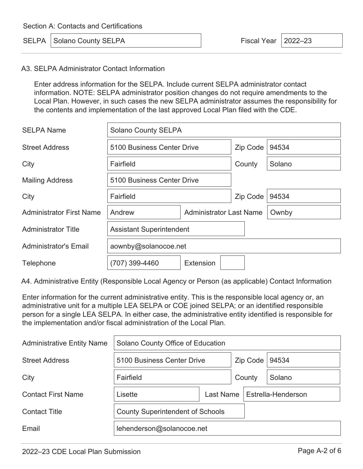|  | <b>SELPA</b>   Solano County SELPA |  |
|--|------------------------------------|--|
|--|------------------------------------|--|

Fiscal Year  $\vert$  2022–23

#### A3. SELPA Administrator Contact Information

Enter address information for the SELPA. Include current SELPA administrator contact information. NOTE: SELPA administrator position changes do not require amendments to the Local Plan. However, in such cases the new SELPA administrator assumes the responsibility for the contents and implementation of the last approved Local Plan filed with the CDE.

| <b>SELPA Name</b>               | <b>Solano County SELPA</b>               |                  |          |        |
|---------------------------------|------------------------------------------|------------------|----------|--------|
| <b>Street Address</b>           | 5100 Business Center Drive               |                  | Zip Code | 94534  |
| City                            | Fairfield                                |                  | County   | Solano |
| <b>Mailing Address</b>          | 5100 Business Center Drive               |                  |          |        |
| City                            | Fairfield                                |                  | Zip Code | 94534  |
| <b>Administrator First Name</b> | <b>Administrator Last Name</b><br>Andrew |                  |          | Ownby  |
| <b>Administrator Title</b>      | <b>Assistant Superintendent</b>          |                  |          |        |
| <b>Administrator's Email</b>    | aownby@solanocoe.net                     |                  |          |        |
| Telephone                       | (707) 399-4460                           | <b>Extension</b> |          |        |

A4. Administrative Entity (Responsible Local Agency or Person (as applicable) Contact Information

Enter information for the current administrative entity. This is the responsible local agency or, an administrative unit for a multiple LEA SELPA or COE joined SELPA; or an identified responsible person for a single LEA SELPA. In either case, the administrative entity identified is responsible for the implementation and/or fiscal administration of the Local Plan.

| <b>Administrative Entity Name</b> | Solano County Office of Education       |  |          |                    |        |
|-----------------------------------|-----------------------------------------|--|----------|--------------------|--------|
| <b>Street Address</b>             | 5100 Business Center Drive              |  | Zip Code |                    | 94534  |
| City                              | Fairfield                               |  | County   |                    | Solano |
| <b>Contact First Name</b>         | Last Name<br>Lisette                    |  |          | Estrella-Henderson |        |
| <b>Contact Title</b>              | <b>County Superintendent of Schools</b> |  |          |                    |        |
| Email                             | lehenderson@solanocoe.net               |  |          |                    |        |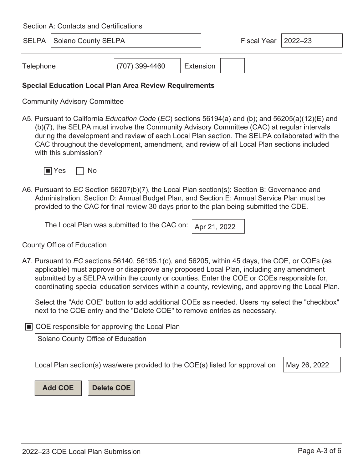|           | <b>SELPA   Solano County SELPA</b> |                |           | Fiscal Year $ 2022-23 $ |  |
|-----------|------------------------------------|----------------|-----------|-------------------------|--|
| Telephone |                                    | (707) 399-4460 | Extension |                         |  |

#### **Special Education Local Plan Area Review Requirements**

Community Advisory Committee

A5. Pursuant to California *Education Code* (*EC*) sections 56194(a) and (b); and 56205(a)(12)(E) and (b)(7), the SELPA must involve the Community Advisory Committee (CAC) at regular intervals during the development and review of each Local Plan section. The SELPA collaborated with the CAC throughout the development, amendment, and review of all Local Plan sections included with this submission?



A6. Pursuant to *EC* Section 56207(b)(7), the Local Plan section(s): Section B: Governance and Administration, Section D: Annual Budget Plan, and Section E: Annual Service Plan must be provided to the CAC for final review 30 days prior to the plan being submitted the CDE.

| The Local Plan was submitted to the CAC on: $\vert$ Apr 21, 2022 |  |
|------------------------------------------------------------------|--|
|------------------------------------------------------------------|--|

County Office of Education

A7. Pursuant to *EC* sections 56140, 56195.1(c), and 56205, within 45 days, the COE, or COEs (as applicable) must approve or disapprove any proposed Local Plan, including any amendment submitted by a SELPA within the county or counties. Enter the COE or COEs responsible for, coordinating special education services within a county, reviewing, and approving the Local Plan.

Select the "Add COE" button to add additional COEs as needed. Users my select the "checkbox" next to the COE entry and the "Delete COE" to remove entries as necessary.

■ COE responsible for approving the Local Plan

Solano County Office of Education

Local Plan section(s) was/were provided to the COE(s) listed for approval on  $\parallel$  May 26, 2022

**Add COE Delete COE**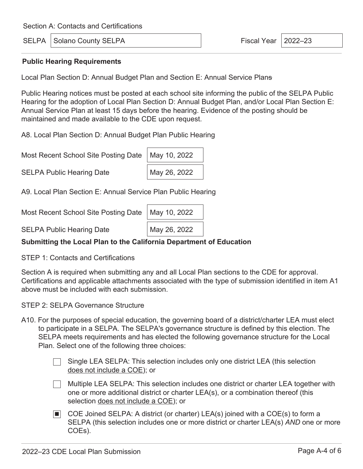SELPA Solano County SELPA Fiscal Year 2022–23

#### **Public Hearing Requirements**

Local Plan Section D: Annual Budget Plan and Section E: Annual Service Plans

Public Hearing notices must be posted at each school site informing the public of the SELPA Public Hearing for the adoption of Local Plan Section D: Annual Budget Plan, and/or Local Plan Section E: Annual Service Plan at least 15 days before the hearing. Evidence of the posting should be maintained and made available to the CDE upon request.

A8. Local Plan Section D: Annual Budget Plan Public Hearing

Most Recent School Site Posting Date | May 10, 2022

SELPA Public Hearing Date May 26, 2022

A9. Local Plan Section E: Annual Service Plan Public Hearing

Most Recent School Site Posting Date | May 10, 2022

SELPA Public Hearing Date May 26, 2022

### **Submitting the Local Plan to the California Department of Education**

STEP 1: Contacts and Certifications

Section A is required when submitting any and all Local Plan sections to the CDE for approval. Certifications and applicable attachments associated with the type of submission identified in item A1 above must be included with each submission.

STEP 2: SELPA Governance Structure

- A10. For the purposes of special education, the governing board of a district/charter LEA must elect to participate in a SELPA. The SELPA's governance structure is defined by this election. The SELPA meets requirements and has elected the following governance structure for the Local Plan. Select one of the following three choices:
	- Single LEA SELPA: This selection includes only one district LEA (this selection does not include a COE); or
	- $\Box$ Multiple LEA SELPA: This selection includes one district or charter LEA together with one or more additional district or charter LEA(s), or a combination thereof (this selection does not include a COE); or
	- COE Joined SELPA: A district (or charter) LEA(s) joined with a COE(s) to form a SELPA (this selection includes one or more district or charter LEA(s) *AND* one or more COEs).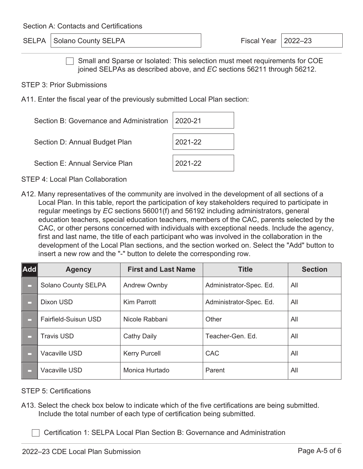SELPA Solano County SELPA Fiscal Year 2022–23

Small and Sparse or Isolated: This selection must meet requirements for COE joined SELPAs as described above, and *EC* sections 56211 through 56212.

STEP 3: Prior Submissions

A11. Enter the fiscal year of the previously submitted Local Plan section:

| Section B: Governance and Administration   2020-21 |         |
|----------------------------------------------------|---------|
| Section D: Annual Budget Plan                      | 2021-22 |
| Section E: Annual Service Plan                     | 2021-22 |

STEP 4: Local Plan Collaboration

A12. Many representatives of the community are involved in the development of all sections of a Local Plan. In this table, report the participation of key stakeholders required to participate in regular meetings by *EC* sections 56001(f) and 56192 including administrators, general education teachers, special education teachers, members of the CAC, parents selected by the CAC, or other persons concerned with individuals with exceptional needs. Include the agency, first and last name, the title of each participant who was involved in the collaboration in the development of the Local Plan sections, and the section worked on. Select the "Add" button to insert a new row and the "-" button to delete the corresponding row.

| $ \mathsf{Add} $ | <b>Agency</b>        | <b>First and Last Name</b> | <b>Title</b>            | <b>Section</b> |
|------------------|----------------------|----------------------------|-------------------------|----------------|
|                  | Solano County SELPA  | <b>Andrew Ownby</b>        | Administrator-Spec. Ed. | All            |
|                  | Dixon USD            | <b>Kim Parrott</b>         | Administrator-Spec. Ed. | All            |
|                  | Fairfield-Suisun USD | Nicole Rabbani             | Other                   | All            |
| □                | <b>Travis USD</b>    | <b>Cathy Daily</b>         | Teacher-Gen, Ed.        | All            |
| □                | Vacaville USD        | <b>Kerry Purcell</b>       | <b>CAC</b>              | All            |
|                  | <b>Vacaville USD</b> | Monica Hurtado             | Parent                  | All            |

STEP 5: Certifications

A13. Select the check box below to indicate which of the five certifications are being submitted. Include the total number of each type of certification being submitted.

Certification 1: SELPA Local Plan Section B: Governance and Administration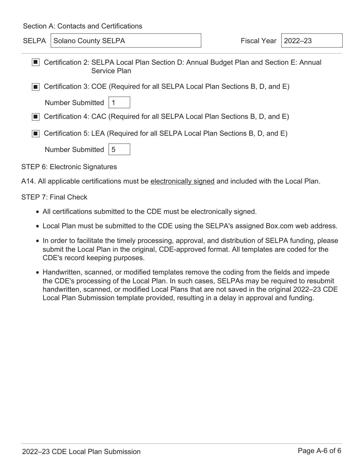SELPA Solano County SELPA Fiscal Year 2022–23

| Certification 2: SELPA Local Plan Section D: Annual Budget Plan and Section E: Annual |
|---------------------------------------------------------------------------------------|
| Service Plan                                                                          |

■ Certification 3: COE (Required for all SELPA Local Plan Sections B, D, and E)

Number Submitted | 1

■ Certification 4: CAC (Required for all SELPA Local Plan Sections B, D, and E)

■ Certification 5: LEA (Required for all SELPA Local Plan Sections B, D, and E)

| Number Submitted   5 |  |
|----------------------|--|
|----------------------|--|

STEP 6: Electronic Signatures

A14. All applicable certifications must be electronically signed and included with the Local Plan.

#### STEP 7: Final Check

- All certifications submitted to the CDE must be electronically signed.
- Local Plan must be submitted to the CDE using the SELPA's assigned Box.com web address.
- In order to facilitate the timely processing, approval, and distribution of SELPA funding, please submit the Local Plan in the original, CDE-approved format. All templates are coded for the CDE's record keeping purposes.
- Handwritten, scanned, or modified templates remove the coding from the fields and impede the CDE's processing of the Local Plan. In such cases, SELPAs may be required to resubmit handwritten, scanned, or modified Local Plans that are not saved in the original 2022–23 CDE Local Plan Submission template provided, resulting in a delay in approval and funding.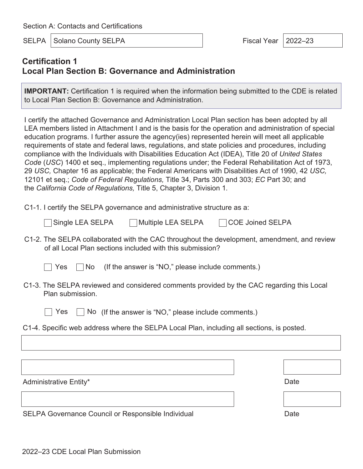SELPA Solano County SELPA Fiscal Year 2022–23

### **Certification 1 Local Plan Section B: Governance and Administration**

**IMPORTANT:** Certification 1 is required when the information being submitted to the CDE is related to Local Plan Section B: Governance and Administration.

I certify the attached Governance and Administration Local Plan section has been adopted by all LEA members listed in Attachment I and is the basis for the operation and administration of special education programs. I further assure the agency(ies) represented herein will meet all applicable requirements of state and federal laws, regulations, and state policies and procedures, including compliance with the Individuals with Disabilities Education Act (IDEA), Title 20 of *United States Code* (*USC*) 1400 et seq., implementing regulations under; the Federal Rehabilitation Act of 1973, 29 *USC,* Chapter 16 as applicable; the Federal Americans with Disabilities Act of 1990, 42 *USC,*  12101 et seq.; *Code of Federal Regulations,* Title 34, Parts 300 and 303; *EC* Part 30; and the *California Code of Regulations,* Title 5, Chapter 3, Division 1*.* 

C1-1. I certify the SELPA governance and administrative structure as a:

| □ Single LEA SELPA | ヿMultiple LEA SELPA | <b>TCOE Joined SELPA</b> |
|--------------------|---------------------|--------------------------|
|--------------------|---------------------|--------------------------|

- C1-2. The SELPA collaborated with the CAC throughout the development, amendment, and review of all Local Plan sections included with this submission?
	-

Yes  $\Box$  No (If the answer is "NO," please include comments.)

- C1-3. The SELPA reviewed and considered comments provided by the CAC regarding this Local Plan submission.
	-

 $\Box$  Yes  $\Box$  No (If the answer is "NO," please include comments.)

C1-4. Specific web address where the SELPA Local Plan, including all sections, is posted.

Administrative Entity\* Date **Date** Date **Date** 

SELPA Governance Council or Responsible Individual Date Date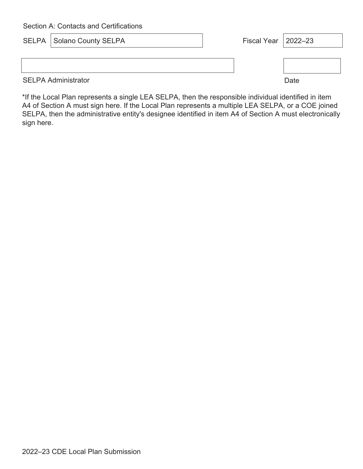| <b>SELPA   Solano County SELPA</b> | Fiscal Year   2022-23 |      |
|------------------------------------|-----------------------|------|
|                                    |                       |      |
|                                    |                       |      |
| <b>SELPA Administrator</b>         |                       | Date |

\*If the Local Plan represents a single LEA SELPA, then the responsible individual identified in item A4 of Section A must sign here. If the Local Plan represents a multiple LEA SELPA, or a COE joined SELPA, then the administrative entity's designee identified in item A4 of Section A must electronically sign here.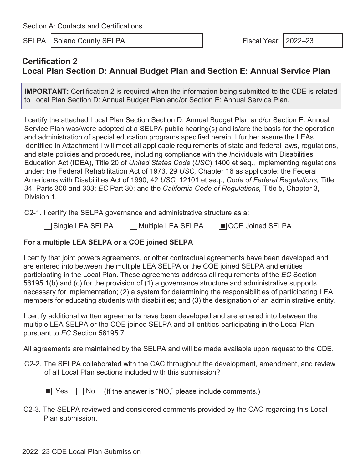SELPA Solano County SELPA Fiscal Year | 2022–23

# **Certification 2 Local Plan Section D: Annual Budget Plan and Section E: Annual Service Plan**

**IMPORTANT:** Certification 2 is required when the information being submitted to the CDE is related to Local Plan Section D: Annual Budget Plan and/or Section E: Annual Service Plan.

I certify the attached Local Plan Section Section D: Annual Budget Plan and/or Section E: Annual Service Plan was/were adopted at a SELPA public hearing(s) and is/are the basis for the operation and administration of special education programs specified herein. I further assure the LEAs identified in Attachment I will meet all applicable requirements of state and federal laws, regulations, and state policies and procedures, including compliance with the *I*ndividuals with Disabilities Education Act (IDEA), Title 20 of *United States Code* (*USC*) 1400 et seq., implementing regulations under; the Federal Rehabilitation Act of 1973, 29 *USC,* Chapter 16 as applicable; the Federal Americans with Disabilities Act of 1990, 42 *USC,* 12101 et seq.; *Code of Federal Regulations,* Title 34, Parts 300 and 303; *EC* Part 30; and the *California Code of Regulations,* Title 5, Chapter 3, Division 1*.* 

C2-1. I certify the SELPA governance and administrative structure as a:

Single LEA SELPA Multiple LEA SELPA ■ COE Joined SELPA

### **For a multiple LEA SELPA or a COE joined SELPA**

I certify that joint powers agreements, or other contractual agreements have been developed and are entered into between the multiple LEA SELPA or the COE joined SELPA and entities participating in the Local Plan. These agreements address all requirements of the *EC* Section 56195.1(b) and (c) for the provision of (1) a governance structure and administrative supports necessary for implementation; (2) a system for determining the responsibilities of participating LEA members for educating students with disabilities; and (3) the designation of an administrative entity.

I certify additional written agreements have been developed and are entered into between the multiple LEA SELPA or the COE joined SELPA and all entities participating in the Local Plan pursuant to *EC* Section 56195.7.

All agreements are maintained by the SELPA and will be made available upon request to the CDE.

C2-2. The SELPA collaborated with the CAC throughout the development, amendment, and review of all Local Plan sections included with this submission?

 $\blacksquare$  Yes  $\blacksquare$  No (If the answer is "NO," please include comments.)

C2-3. The SELPA reviewed and considered comments provided by the CAC regarding this Local Plan submission.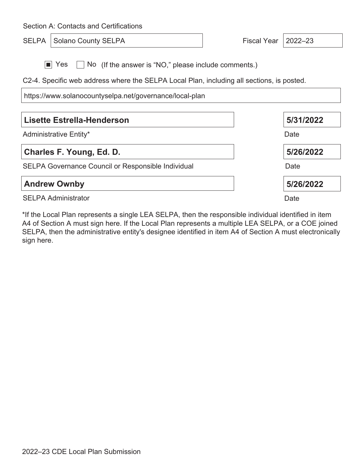Section A: Contacts and Certifications SELPA Solano County SELPA Fiscal Year 2022–23 ■ Yes No (If the answer is "NO," please include comments.) C2-4. Specific web address where the SELPA Local Plan, including all sections, is posted. https://www.solanocountyselpa.net/governance/local-plan Administrative Entity\* **Lisette Estrella-Henderson Date 5/31/2022** SELPA Governance Council or Responsible Individual **Charles F. Young, Ed. D.** Date **5/26/2022 Andrew Ownby 5/26/2022**

SELPA Administrator

\*If the Local Plan represents a single LEA SELPA, then the responsible individual identified in item A4 of Section A must sign here. If the Local Plan represents a multiple LEA SELPA, or a COE joined SELPA, then the administrative entity's designee identified in item A4 of Section A must electronically sign here.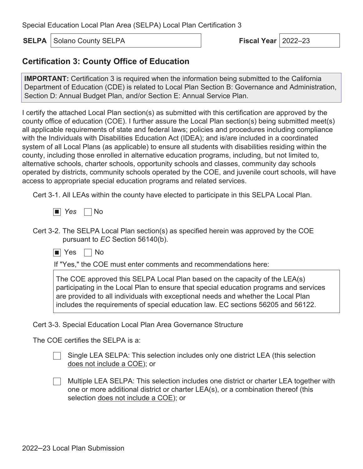**SELPA** Solano County SELPA **Fiscal Year Fiscal Year** 2022–23

# **Certification 3: County Office of Education**

**IMPORTANT:** Certification 3 is required when the information being submitted to the California Department of Education (CDE) is related to Local Plan Section B: Governance and Administration, Section D: Annual Budget Plan, and/or Section E: Annual Service Plan.

I certify the attached Local Plan section(s) as submitted with this certification are approved by the county office of education (COE). I further assure the Local Plan section(s) being submitted meet(s) all applicable requirements of state and federal laws; policies and procedures including compliance with the Individuals with Disabilities Education Act (IDEA); and is/are included in a coordinated system of all Local Plans (as applicable) to ensure all students with disabilities residing within the county, including those enrolled in alternative education programs, including, but not limited to, alternative schools, charter schools, opportunity schools and classes, community day schools operated by districts, community schools operated by the COE, and juvenile court schools, will have access to appropriate special education programs and related services.

Cert 3-1. All LEAs within the county have elected to participate in this SELPA Local Plan.

- *Yes* no
- Cert 3-2. The SELPA Local Plan section(s) as specified herein was approved by the COE pursuant to *EC* Section 56140(b).
	- Yes No

If "Yes," the COE must enter comments and recommendations here:

The COE approved this SELPA Local Plan based on the capacity of the LEA(s) participating in the Local Plan to ensure that special education programs and services are provided to all individuals with exceptional needs and whether the Local Plan includes the requirements of special education law. EC sections 56205 and 56122.

Cert 3-3. Special Education Local Plan Area Governance Structure

The COE certifies the SELPA is a:

Single LEA SELPA: This selection includes only one district LEA (this selection does not include a COE); or

 $\Box$ Multiple LEA SELPA: This selection includes one district or charter LEA together with one or more additional district or charter LEA(s), or a combination thereof (this selection does not include a COE); or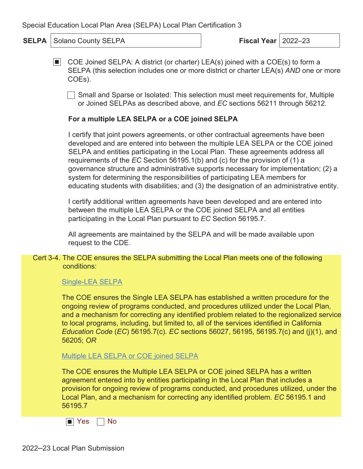**SELPA** Solano County SELPA **Fiscal Year** 2022–23

■ COE Joined SELPA: A district (or charter) LEA(s) joined with a COE(s) to form a SELPA (this selection includes one or more district or charter LEA(s) *AND* one or more COEs).

Small and Sparse or Isolated: This selection must meet requirements for, Multiple or Joined SELPAs as described above, and *EC* sections 56211 through 56212.

### **For a multiple LEA SELPA or a COE joined SELPA**

I certify that joint powers agreements, or other contractual agreements have been developed and are entered into between the multiple LEA SELPA or the COE joined SELPA and entities participating in the Local Plan. These agreements address all requirements of the *EC* Section 56195.1(b) and (c) for the provision of (1) a governance structure and administrative supports necessary for implementation; (2) a system for determining the responsibilities of participating LEA members for educating students with disabilities; and (3) the designation of an administrative entity.

I certify additional written agreements have been developed and are entered into between the multiple LEA SELPA or the COE joined SELPA and all entities participating in the Local Plan pursuant to *EC* Section 56195.7.

All agreements are maintained by the SELPA and will be made available upon request to the CDE.

Cert 3-4. The COE ensures the SELPA submitting the Local Plan meets one of the following conditions:

#### Single-LEA SELPA

The COE ensures the Single LEA SELPA has established a written procedure for the ongoing review of programs conducted, and procedures utilized under the Local Plan, and a mechanism for correcting any identified problem related to the regionalized service to local programs, including, but limited to, all of the services identified in California *Education Code* (*EC*) 56195.7(c). *EC* sections 56027, 56195, 56195.7(c) and (j)(1), and 56205; *OR*

Multiple LEA SELPA or COE joined SELPA

The COE ensures the Multiple LEA SELPA or COE joined SELPA has a written agreement entered into by entities participating in the Local Plan that includes a provision for ongoing review of programs conducted, and procedures utilized, under the Local Plan, and a mechanism for correcting any identified problem. *EC* 56195.1 and 56195.7

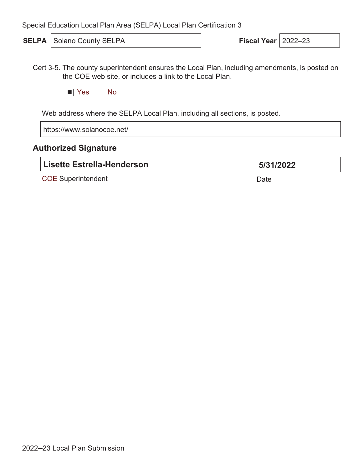**SELPA** Solano County SELPA **Fiscal Year** 2022–23

Cert 3-5. The county superintendent ensures the Local Plan, including amendments, is posted on the COE web site, or includes a link to the Local Plan.

|  |  |  | ገ |
|--|--|--|---|
|--|--|--|---|

Web address where the SELPA Local Plan, including all sections, is posted.

https://www.solanocoe.net/

### **Authorized Signature**

**Lisette Estrella-Henderson**

COE Superintendent

| 5/31/2022 |
|-----------|
|-----------|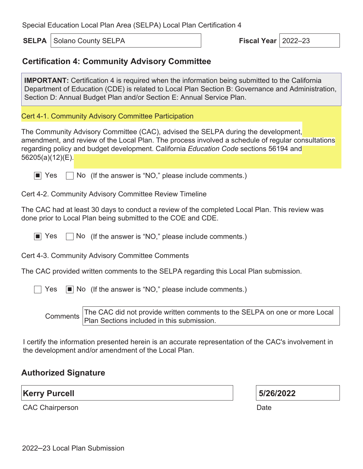**SELPA** Solano County SELPA **Fiscal Year Fiscal Year** 2022–23

# **Certification 4: Community Advisory Committee**

**IMPORTANT:** Certification 4 is required when the information being submitted to the California Department of Education (CDE) is related to Local Plan Section B: Governance and Administration, Section D: Annual Budget Plan and/or Section E: Annual Service Plan.

Cert 4-1. Community Advisory Committee Participation

The Community Advisory Committee (CAC), advised the SELPA during the development, amendment, and review of the Local Plan. The process involved a schedule of regular consultations regarding policy and budget development. California *Education Code* sections 56194 and 56205(a)(12)(E).

 $\blacksquare$  Yes  $\blacksquare$  No (If the answer is "NO," please include comments.)

Cert 4-2. Community Advisory Committee Review Timeline

The CAC had at least 30 days to conduct a review of the completed Local Plan. This review was done prior to Local Plan being submitted to the COE and CDE.

 $\vert \blacksquare \vert$  Yes  $\vert \vert$  No (If the answer is "NO," please include comments.)

Cert 4-3. Community Advisory Committee Comments

The CAC provided written comments to the SELPA regarding this Local Plan submission.

 $\vert$  Yes  $\vert \blacksquare \vert$  No (If the answer is "NO," please include comments.)

Comments The CAC did not provide written comments to the SELPA on one or more Local Plan Sections included in this submission.

I certify the information presented herein is an accurate representation of the CAC's involvement in the development and/or amendment of the Local Plan.

# **Authorized Signature**

**Kerry Purcell**

**5/26/2022**

CAC Chairperson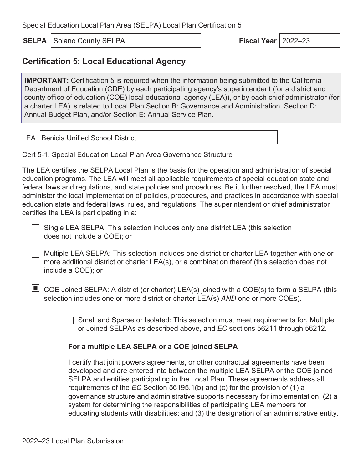**SELPA** Solano County SELPA **Fiscal Year Fiscal Year** 2022–23

# **Certification 5: Local Educational Agency**

**IMPORTANT:** Certification 5 is required when the information being submitted to the California Department of Education (CDE) by each participating agency's superintendent (for a district and county office of education (COE) local educational agency (LEA)), or by each chief administrator (for a charter LEA) is related to Local Plan Section B: Governance and Administration, Section D: Annual Budget Plan, and/or Section E: Annual Service Plan.

LEA Benicia Unified School District

Cert 5-1. Special Education Local Plan Area Governance Structure

The LEA certifies the SELPA Local Plan is the basis for the operation and administration of special education programs. The LEA will meet all applicable requirements of special education state and federal laws and regulations, and state policies and procedures. Be it further resolved, the LEA must administer the local implementation of policies, procedures, and practices in accordance with special education state and federal laws, rules, and regulations. The superintendent or chief administrator certifies the LEA is participating in a:

Single LEA SELPA: This selection includes only one district LEA (this selection does not include a COE); or

- Multiple LEA SELPA: This selection includes one district or charter LEA together with one or more additional district or charter LEA(s), or a combination thereof (this selection does not include a COE); or
- $\blacksquare$  COE Joined SELPA: A district (or charter) LEA(s) joined with a COE(s) to form a SELPA (this selection includes one or more district or charter LEA(s) *AND* one or more COEs).

Small and Sparse or Isolated: This selection must meet requirements for, Multiple or Joined SELPAs as described above, and *EC* sections 56211 through 56212.

#### **For a multiple LEA SELPA or a COE joined SELPA**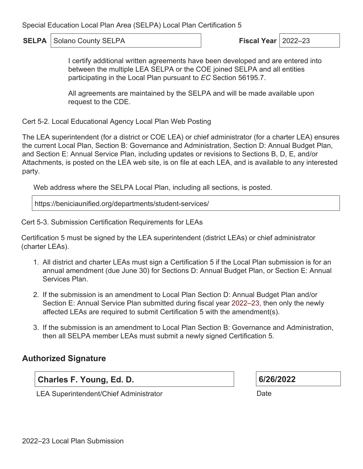**SELPA** Solano County SELPA **Fiscal Year Fiscal Year** 2022–23

I certify additional written agreements have been developed and are entered into between the multiple LEA SELPA or the COE joined SELPA and all entities participating in the Local Plan pursuant to *EC* Section 56195.7.

All agreements are maintained by the SELPA and will be made available upon request to the CDE.

Cert 5-2. Local Educational Agency Local Plan Web Posting

The LEA superintendent (for a district or COE LEA) or chief administrator (for a charter LEA) ensures the current Local Plan, Section B: Governance and Administration, Section D: Annual Budget Plan, and Section E: Annual Service Plan, including updates or revisions to Sections B, D, E, and/or Attachments, is posted on the LEA web site, is on file at each LEA, and is available to any interested party.

Web address where the SELPA Local Plan, including all sections, is posted.

https://beniciaunified.org/departments/student-services/

Cert 5-3. Submission Certification Requirements for LEAs

Certification 5 must be signed by the LEA superintendent (district LEAs) or chief administrator (charter LEAs).

- 1. All district and charter LEAs must sign a Certification 5 if the Local Plan submission is for an annual amendment (due June 30) for Sections D: Annual Budget Plan, or Section E: Annual Services Plan.
- 2. If the submission is an amendment to Local Plan Section D: Annual Budget Plan and/or Section E: Annual Service Plan submitted during fiscal year 2022–23, then only the newly affected LEAs are required to submit Certification 5 with the amendment(s).
- 3. If the submission is an amendment to Local Plan Section B: Governance and Administration, then all SELPA member LEAs must submit a newly signed Certification 5.

# **Authorized Signature**

**Charles F. Young, Ed. D.**

**6/26/2022**

LEA Superintendent/Chief Administrator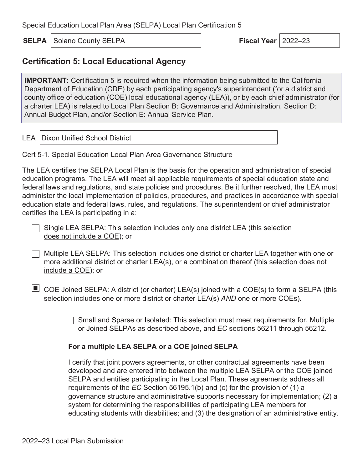**SELPA** Solano County SELPA **Fiscal Year Fiscal Year** 2022–23

### **Certification 5: Local Educational Agency**

**IMPORTANT:** Certification 5 is required when the information being submitted to the California Department of Education (CDE) by each participating agency's superintendent (for a district and county office of education (COE) local educational agency (LEA)), or by each chief administrator (for a charter LEA) is related to Local Plan Section B: Governance and Administration, Section D: Annual Budget Plan, and/or Section E: Annual Service Plan.

LEA Dixon Unified School District

Cert 5-1. Special Education Local Plan Area Governance Structure

The LEA certifies the SELPA Local Plan is the basis for the operation and administration of special education programs. The LEA will meet all applicable requirements of special education state and federal laws and regulations, and state policies and procedures. Be it further resolved, the LEA must administer the local implementation of policies, procedures, and practices in accordance with special education state and federal laws, rules, and regulations. The superintendent or chief administrator certifies the LEA is participating in a:

Single LEA SELPA: This selection includes only one district LEA (this selection does not include a COE); or

- Multiple LEA SELPA: This selection includes one district or charter LEA together with one or more additional district or charter LEA(s), or a combination thereof (this selection does not include a COE); or
- $\blacksquare$  COE Joined SELPA: A district (or charter) LEA(s) joined with a COE(s) to form a SELPA (this selection includes one or more district or charter LEA(s) *AND* one or more COEs).

Small and Sparse or Isolated: This selection must meet requirements for, Multiple or Joined SELPAs as described above, and *EC* sections 56211 through 56212.

#### **For a multiple LEA SELPA or a COE joined SELPA**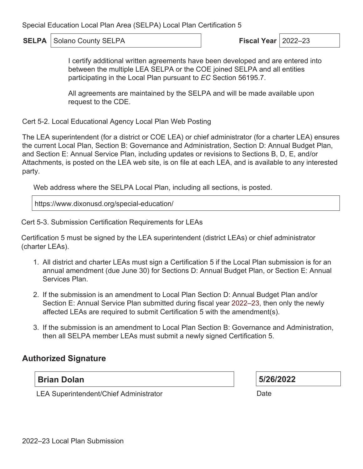**SELPA** Solano County SELPA **Fiscal Year Fiscal Year** 2022–23

I certify additional written agreements have been developed and are entered into between the multiple LEA SELPA or the COE joined SELPA and all entities participating in the Local Plan pursuant to *EC* Section 56195.7.

All agreements are maintained by the SELPA and will be made available upon request to the CDE.

Cert 5-2. Local Educational Agency Local Plan Web Posting

The LEA superintendent (for a district or COE LEA) or chief administrator (for a charter LEA) ensures the current Local Plan, Section B: Governance and Administration, Section D: Annual Budget Plan, and Section E: Annual Service Plan, including updates or revisions to Sections B, D, E, and/or Attachments, is posted on the LEA web site, is on file at each LEA, and is available to any interested party.

Web address where the SELPA Local Plan, including all sections, is posted.

https://www.dixonusd.org/special-education/

Cert 5-3. Submission Certification Requirements for LEAs

Certification 5 must be signed by the LEA superintendent (district LEAs) or chief administrator (charter LEAs).

- 1. All district and charter LEAs must sign a Certification 5 if the Local Plan submission is for an annual amendment (due June 30) for Sections D: Annual Budget Plan, or Section E: Annual Services Plan.
- 2. If the submission is an amendment to Local Plan Section D: Annual Budget Plan and/or Section E: Annual Service Plan submitted during fiscal year 2022–23, then only the newly affected LEAs are required to submit Certification 5 with the amendment(s).
- 3. If the submission is an amendment to Local Plan Section B: Governance and Administration, then all SELPA member LEAs must submit a newly signed Certification 5.

# **Authorized Signature**

### **Brian Dolan**

**5/26/2022**

LEA Superintendent/Chief Administrator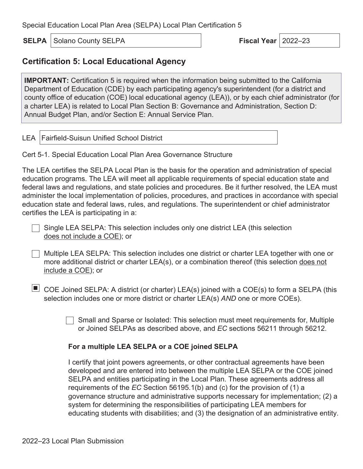**SELPA** Solano County SELPA **Fiscal Year Fiscal Year** 2022–23

# **Certification 5: Local Educational Agency**

**IMPORTANT:** Certification 5 is required when the information being submitted to the California Department of Education (CDE) by each participating agency's superintendent (for a district and county office of education (COE) local educational agency (LEA)), or by each chief administrator (for a charter LEA) is related to Local Plan Section B: Governance and Administration, Section D: Annual Budget Plan, and/or Section E: Annual Service Plan.

LEA Fairfield-Suisun Unified School District

Cert 5-1. Special Education Local Plan Area Governance Structure

The LEA certifies the SELPA Local Plan is the basis for the operation and administration of special education programs. The LEA will meet all applicable requirements of special education state and federal laws and regulations, and state policies and procedures. Be it further resolved, the LEA must administer the local implementation of policies, procedures, and practices in accordance with special education state and federal laws, rules, and regulations. The superintendent or chief administrator certifies the LEA is participating in a:

Single LEA SELPA: This selection includes only one district LEA (this selection does not include a COE); or

- Multiple LEA SELPA: This selection includes one district or charter LEA together with one or more additional district or charter LEA(s), or a combination thereof (this selection does not include a COE); or
- $\blacksquare$  COE Joined SELPA: A district (or charter) LEA(s) joined with a COE(s) to form a SELPA (this selection includes one or more district or charter LEA(s) *AND* one or more COEs).

Small and Sparse or Isolated: This selection must meet requirements for, Multiple or Joined SELPAs as described above, and *EC* sections 56211 through 56212.

#### **For a multiple LEA SELPA or a COE joined SELPA**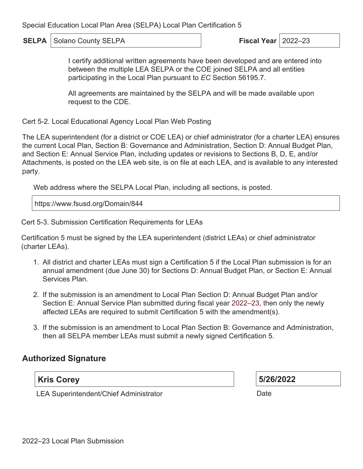**SELPA** Solano County SELPA **Fiscal Year Fiscal Year** 2022–23

I certify additional written agreements have been developed and are entered into between the multiple LEA SELPA or the COE joined SELPA and all entities participating in the Local Plan pursuant to *EC* Section 56195.7.

All agreements are maintained by the SELPA and will be made available upon request to the CDE.

Cert 5-2. Local Educational Agency Local Plan Web Posting

The LEA superintendent (for a district or COE LEA) or chief administrator (for a charter LEA) ensures the current Local Plan, Section B: Governance and Administration, Section D: Annual Budget Plan, and Section E: Annual Service Plan, including updates or revisions to Sections B, D, E, and/or Attachments, is posted on the LEA web site, is on file at each LEA, and is available to any interested party.

Web address where the SELPA Local Plan, including all sections, is posted.

https://www.fsusd.org/Domain/844

Cert 5-3. Submission Certification Requirements for LEAs

Certification 5 must be signed by the LEA superintendent (district LEAs) or chief administrator (charter LEAs).

- 1. All district and charter LEAs must sign a Certification 5 if the Local Plan submission is for an annual amendment (due June 30) for Sections D: Annual Budget Plan, or Section E: Annual Services Plan.
- 2. If the submission is an amendment to Local Plan Section D: Annual Budget Plan and/or Section E: Annual Service Plan submitted during fiscal year 2022–23, then only the newly affected LEAs are required to submit Certification 5 with the amendment(s).
- 3. If the submission is an amendment to Local Plan Section B: Governance and Administration, then all SELPA member LEAs must submit a newly signed Certification 5.

# **Authorized Signature**

### **Kris Corey**

**5/26/2022**

LEA Superintendent/Chief Administrator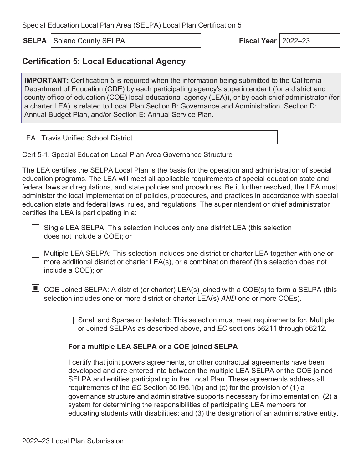**SELPA** Solano County SELPA **Fiscal Year Fiscal Year** 2022–23

# **Certification 5: Local Educational Agency**

**IMPORTANT:** Certification 5 is required when the information being submitted to the California Department of Education (CDE) by each participating agency's superintendent (for a district and county office of education (COE) local educational agency (LEA)), or by each chief administrator (for a charter LEA) is related to Local Plan Section B: Governance and Administration, Section D: Annual Budget Plan, and/or Section E: Annual Service Plan.

LEA Travis Unified School District

Cert 5-1. Special Education Local Plan Area Governance Structure

The LEA certifies the SELPA Local Plan is the basis for the operation and administration of special education programs. The LEA will meet all applicable requirements of special education state and federal laws and regulations, and state policies and procedures. Be it further resolved, the LEA must administer the local implementation of policies, procedures, and practices in accordance with special education state and federal laws, rules, and regulations. The superintendent or chief administrator certifies the LEA is participating in a:

Single LEA SELPA: This selection includes only one district LEA (this selection does not include a COE); or

- Multiple LEA SELPA: This selection includes one district or charter LEA together with one or more additional district or charter LEA(s), or a combination thereof (this selection does not include a COE); or
- $\blacksquare$  COE Joined SELPA: A district (or charter) LEA(s) joined with a COE(s) to form a SELPA (this selection includes one or more district or charter LEA(s) *AND* one or more COEs).

Small and Sparse or Isolated: This selection must meet requirements for, Multiple or Joined SELPAs as described above, and *EC* sections 56211 through 56212.

#### **For a multiple LEA SELPA or a COE joined SELPA**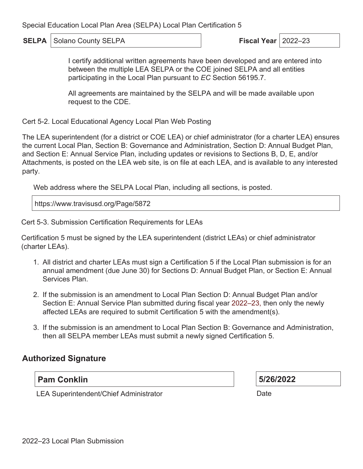**SELPA** Solano County SELPA **Fiscal Year Fiscal Year** 2022–23

I certify additional written agreements have been developed and are entered into between the multiple LEA SELPA or the COE joined SELPA and all entities participating in the Local Plan pursuant to *EC* Section 56195.7.

All agreements are maintained by the SELPA and will be made available upon request to the CDE.

Cert 5-2. Local Educational Agency Local Plan Web Posting

The LEA superintendent (for a district or COE LEA) or chief administrator (for a charter LEA) ensures the current Local Plan, Section B: Governance and Administration, Section D: Annual Budget Plan, and Section E: Annual Service Plan, including updates or revisions to Sections B, D, E, and/or Attachments, is posted on the LEA web site, is on file at each LEA, and is available to any interested party.

Web address where the SELPA Local Plan, including all sections, is posted.

https://www.travisusd.org/Page/5872

Cert 5-3. Submission Certification Requirements for LEAs

Certification 5 must be signed by the LEA superintendent (district LEAs) or chief administrator (charter LEAs).

- 1. All district and charter LEAs must sign a Certification 5 if the Local Plan submission is for an annual amendment (due June 30) for Sections D: Annual Budget Plan, or Section E: Annual Services Plan.
- 2. If the submission is an amendment to Local Plan Section D: Annual Budget Plan and/or Section E: Annual Service Plan submitted during fiscal year 2022–23, then only the newly affected LEAs are required to submit Certification 5 with the amendment(s).
- 3. If the submission is an amendment to Local Plan Section B: Governance and Administration, then all SELPA member LEAs must submit a newly signed Certification 5.

### **Authorized Signature**

### **Pam Conklin**

**5/26/2022**

LEA Superintendent/Chief Administrator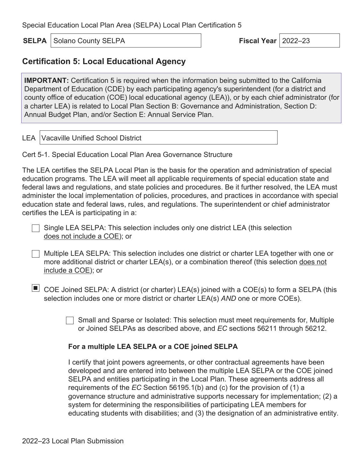**SELPA** Solano County SELPA **Fiscal Year Fiscal Year** 2022–23

### **Certification 5: Local Educational Agency**

**IMPORTANT:** Certification 5 is required when the information being submitted to the California Department of Education (CDE) by each participating agency's superintendent (for a district and county office of education (COE) local educational agency (LEA)), or by each chief administrator (for a charter LEA) is related to Local Plan Section B: Governance and Administration, Section D: Annual Budget Plan, and/or Section E: Annual Service Plan.

LEA Vacaville Unified School District

Cert 5-1. Special Education Local Plan Area Governance Structure

The LEA certifies the SELPA Local Plan is the basis for the operation and administration of special education programs. The LEA will meet all applicable requirements of special education state and federal laws and regulations, and state policies and procedures. Be it further resolved, the LEA must administer the local implementation of policies, procedures, and practices in accordance with special education state and federal laws, rules, and regulations. The superintendent or chief administrator certifies the LEA is participating in a:

Single LEA SELPA: This selection includes only one district LEA (this selection does not include a COE); or

- Multiple LEA SELPA: This selection includes one district or charter LEA together with one or more additional district or charter LEA(s), or a combination thereof (this selection does not include a COE); or
- $\blacksquare$  COE Joined SELPA: A district (or charter) LEA(s) joined with a COE(s) to form a SELPA (this selection includes one or more district or charter LEA(s) *AND* one or more COEs).

Small and Sparse or Isolated: This selection must meet requirements for, Multiple or Joined SELPAs as described above, and *EC* sections 56211 through 56212.

#### **For a multiple LEA SELPA or a COE joined SELPA**